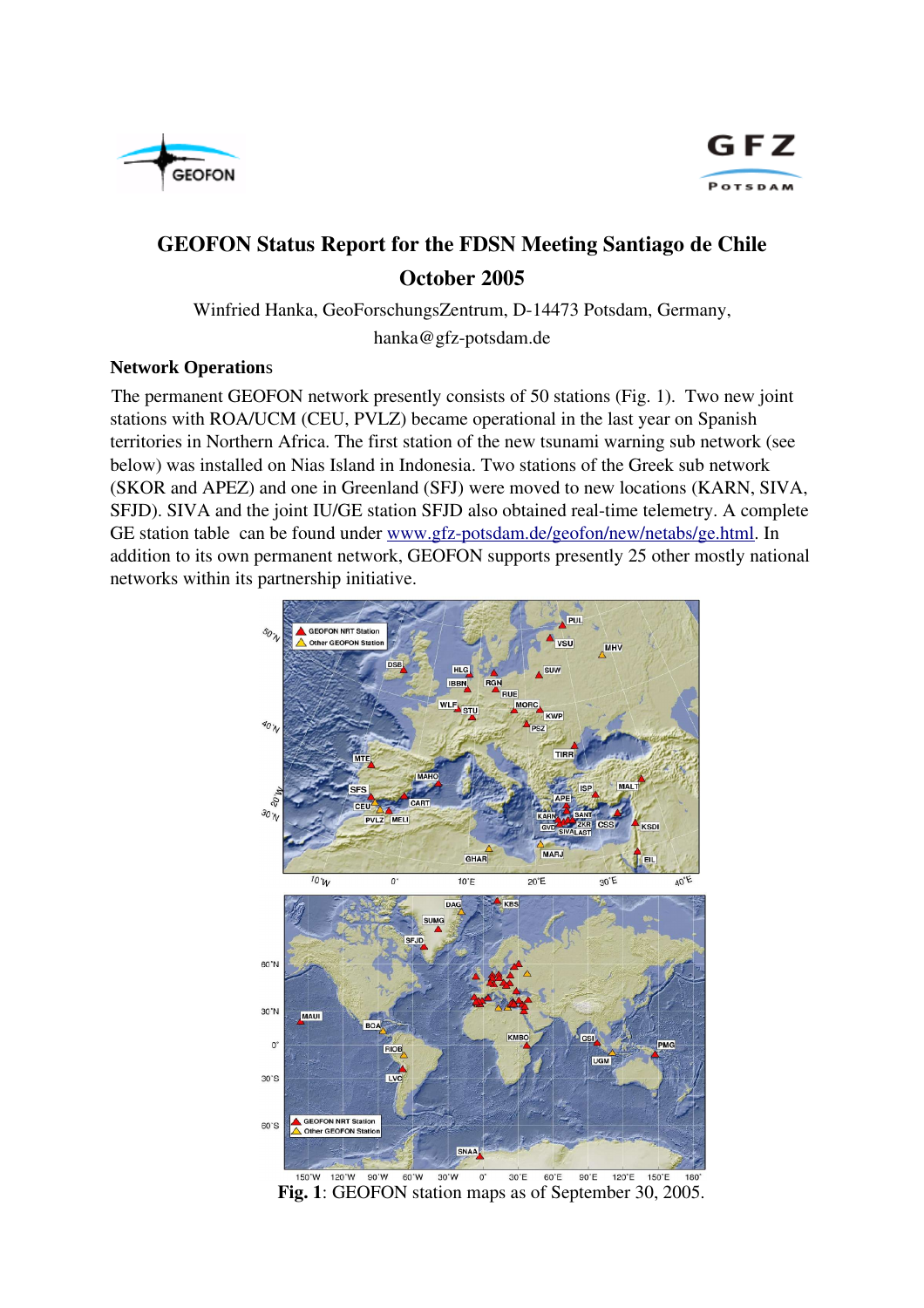



## GEOFON Status Report for the FDSN Meeting Santiago de Chile October 2005

Winfried Hanka, GeoForschungsZentrum, D-14473 Potsdam, Germany,

hanka@gfz-potsdam.de

## **Network Operation**s

The permanent GEOFON network presently consists of 50 stations (Fig. 1). Two new joint stations with ROA/UCM (CEU, PVLZ) became operational in the last year on Spanish territories in Northern Africa. The first station of the new tsunami warning sub network (see below) was installed on Nias Island in Indonesia. Two stations of the Greek sub network (SKOR and APEZ) and one in Greenland (SFJ) were moved to new locations (KARN, SIVA, SFJD). SIVA and the joint IU/GE station SFJD also obtained real-time telemetry. A complete GE station table can be found under www.gfz-potsdam.de/geofon/new/netabs/ge.html. In addition to its own permanent network, GEOFON supports presently 25 other mostly national networks within its partnership initiative.



Fig. 1: GEOFON station maps as of September 30, 2005.